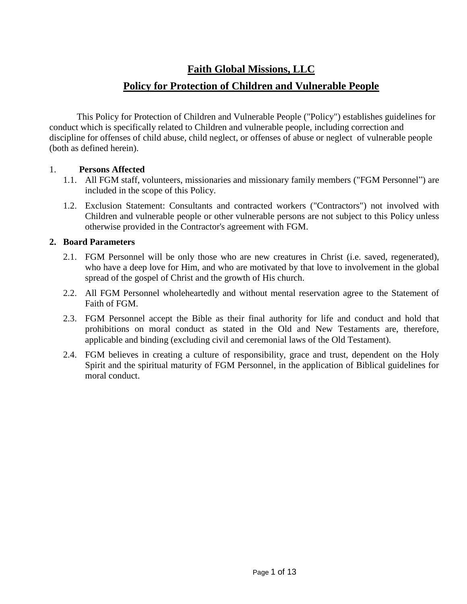# **Faith Global Missions, LLC**

## **Policy for Protection of Children and Vulnerable People**

This Policy for Protection of Children and Vulnerable People ("Policy") establishes guidelines for conduct which is specifically related to Children and vulnerable people, including correction and discipline for offenses of child abuse, child neglect, or offenses of abuse or neglect of vulnerable people (both as defined herein).

#### 1. **Persons Affected**

- 1.1. All FGM staff, volunteers, missionaries and missionary family members ("FGM Personnel") are included in the scope of this Policy.
- 1.2. Exclusion Statement: Consultants and contracted workers ("Contractors") not involved with Children and vulnerable people or other vulnerable persons are not subject to this Policy unless otherwise provided in the Contractor's agreement with FGM.

## **2. Board Parameters**

- 2.1. FGM Personnel will be only those who are new creatures in Christ (i.e. saved, regenerated), who have a deep love for Him, and who are motivated by that love to involvement in the global spread of the gospel of Christ and the growth of His church.
- 2.2. All FGM Personnel wholeheartedly and without mental reservation agree to the Statement of Faith of FGM.
- 2.3. FGM Personnel accept the Bible as their final authority for life and conduct and hold that prohibitions on moral conduct as stated in the Old and New Testaments are, therefore, applicable and binding (excluding civil and ceremonial laws of the Old Testament).
- 2.4. FGM believes in creating a culture of responsibility, grace and trust, dependent on the Holy Spirit and the spiritual maturity of FGM Personnel, in the application of Biblical guidelines for moral conduct.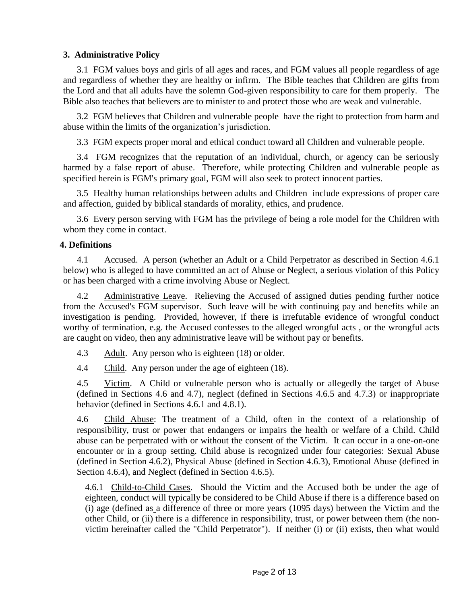## **3. Administrative Policy**

3.1 FGM values boys and girls of all ages and races, and FGM values all people regardless of age and regardless of whether they are healthy or infirm. The Bible teaches that Children are gifts from the Lord and that all adults have the solemn God-given responsibility to care for them properly.The Bible also teaches that believers are to minister to and protect those who are weak and vulnerable.

3.2 FGM belie**v**es that Children and vulnerable people have the right to protection from harm and abuse within the limits of the organization's jurisdiction.

3.3 FGM expects proper moral and ethical conduct toward all Children and vulnerable people.

3.4 FGM recognizes that the reputation of an individual, church, or agency can be seriously harmed by a false report of abuse. Therefore, while protecting Children and vulnerable people as specified herein is FGM's primary goal, FGM will also seek to protect innocent parties.

3.5 Healthy human relationships between adults and Children include expressions of proper care and affection, guided by biblical standards of morality, ethics, and prudence.

3.6 Every person serving with FGM has the privilege of being a role model for the Children with whom they come in contact.

## **4. Definitions**

4.1 Accused. A person (whether an Adult or a Child Perpetrator as described in Section 4.6.1 below) who is alleged to have committed an act of Abuse or Neglect, a serious violation of this Policy or has been charged with a crime involving Abuse or Neglect.

4.2 Administrative Leave. Relieving the Accused of assigned duties pending further notice from the Accused's FGM supervisor. Such leave will be with continuing pay and benefits while an investigation is pending. Provided, however, if there is irrefutable evidence of wrongful conduct worthy of termination, e.g. the Accused confesses to the alleged wrongful acts , or the wrongful acts are caught on video, then any administrative leave will be without pay or benefits.

4.3 Adult. Any person who is eighteen (18) or older.

4.4 Child. Any person under the age of eighteen (18).

4.5 Victim. A Child or vulnerable person who is actually or allegedly the target of Abuse (defined in Sections 4.6 and 4.7), neglect (defined in Sections 4.6.5 and 4.7.3) or inappropriate behavior (defined in Sections 4.6.1 and 4.8.1).

4.6 Child Abuse: The treatment of a Child, often in the context of a relationship of responsibility, trust or power that endangers or impairs the health or welfare of a Child. Child abuse can be perpetrated with or without the consent of the Victim. It can occur in a one-on-one encounter or in a group setting. Child abuse is recognized under four categories: Sexual Abuse (defined in Section 4.6.2), Physical Abuse (defined in Section 4.6.3), Emotional Abuse (defined in Section 4.6.4), and Neglect (defined in Section 4.6.5).

4.6.1 Child-to-Child Cases. Should the Victim and the Accused both be under the age of eighteen, conduct will typically be considered to be Child Abuse if there is a difference based on (i) age (defined as a difference of three or more years (1095 days) between the Victim and the other Child, or (ii) there is a difference in responsibility, trust, or power between them (the nonvictim hereinafter called the "Child Perpetrator"). If neither (i) or (ii) exists, then what would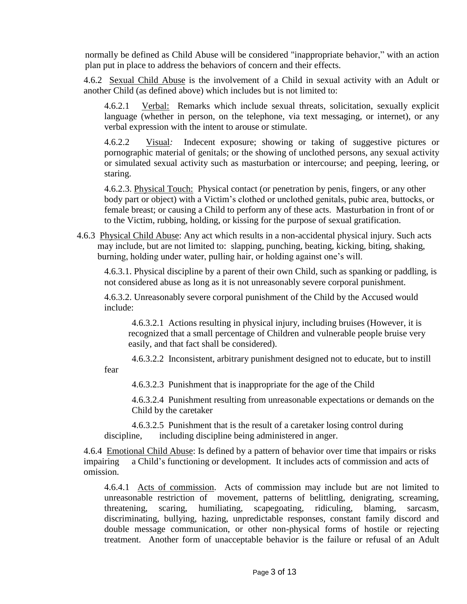normally be defined as Child Abuse will be considered "inappropriate behavior," with an action plan put in place to address the behaviors of concern and their effects.

4.6.2 Sexual Child Abuse is the involvement of a Child in sexual activity with an Adult or another Child (as defined above) which includes but is not limited to:

4.6.2.1 Verbal: Remarks which include sexual threats, solicitation, sexually explicit language (whether in person, on the telephone, via text messaging, or internet), or any verbal expression with the intent to arouse or stimulate.

4.6.2.2 Visual*:* Indecent exposure; showing or taking of suggestive pictures or pornographic material of genitals; or the showing of unclothed persons, any sexual activity or simulated sexual activity such as masturbation or intercourse; and peeping, leering, or staring.

4.6.2.3. Physical Touch: Physical contact (or penetration by penis, fingers, or any other body part or object) with a Victim's clothed or unclothed genitals, pubic area, buttocks, or female breast; or causing a Child to perform any of these acts. Masturbation in front of or to the Victim, rubbing, holding, or kissing for the purpose of sexual gratification.

4.6.3 Physical Child Abuse: Any act which results in a non-accidental physical injury. Such acts may include, but are not limited to: slapping, punching, beating, kicking, biting, shaking, burning, holding under water, pulling hair, or holding against one's will.

4.6.3.1. Physical discipline by a parent of their own Child, such as spanking or paddling, is not considered abuse as long as it is not unreasonably severe corporal punishment.

4.6.3.2. Unreasonably severe corporal punishment of the Child by the Accused would include:

4.6.3.2.1 Actions resulting in physical injury, including bruises (However, it is recognized that a small percentage of Children and vulnerable people bruise very easily, and that fact shall be considered).

4.6.3.2.2 Inconsistent, arbitrary punishment designed not to educate, but to instill fear

4.6.3.2.3 Punishment that is inappropriate for the age of the Child

4.6.3.2.4 Punishment resulting from unreasonable expectations or demands on the Child by the caretaker

4.6.3.2.5 Punishment that is the result of a caretaker losing control during discipline, including discipline being administered in anger.

4.6.4Emotional Child Abuse: Is defined by a pattern of behavior over time that impairs or risks impairing a Child's functioning or development. It includes acts of commission and acts of omission.

4.6.4.1 Acts of commission. Acts of commission may include but are not limited to unreasonable restriction of movement, patterns of belittling, denigrating, screaming, threatening, scaring, humiliating, scapegoating, ridiculing, blaming, sarcasm, discriminating, bullying, hazing, unpredictable responses, constant family discord and double message communication, or other non-physical forms of hostile or rejecting treatment. Another form of unacceptable behavior is the failure or refusal of an Adult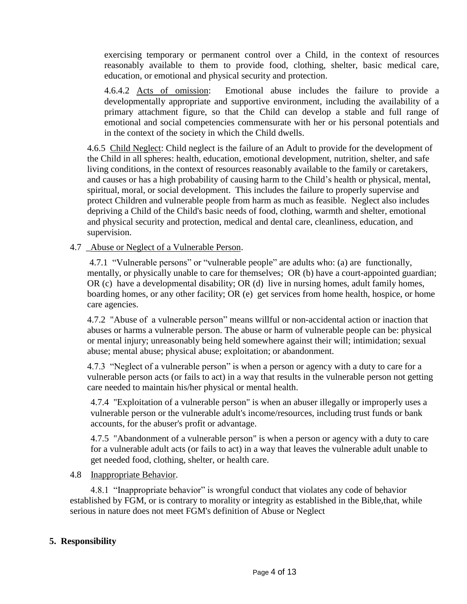exercising temporary or permanent control over a Child, in the context of resources reasonably available to them to provide food, clothing, shelter, basic medical care, education, or emotional and physical security and protection.

4.6.4.2 Acts of omission: Emotional abuse includes the failure to provide a developmentally appropriate and supportive environment, including the availability of a primary attachment figure, so that the Child can develop a stable and full range of emotional and social competencies commensurate with her or his personal potentials and in the context of the society in which the Child dwells.

4.6.5 Child Neglect: Child neglect is the failure of an Adult to provide for the development of the Child in all spheres: health, education, emotional development, nutrition, shelter, and safe living conditions, in the context of resources reasonably available to the family or caretakers, and causes or has a high probability of causing harm to the Child's health or physical, mental, spiritual, moral, or social development. This includes the failure to properly supervise and protect Children and vulnerable people from harm as much as feasible. Neglect also includes depriving a Child of the Child's basic needs of food, clothing, warmth and shelter, emotional and physical security and protection, medical and dental care, cleanliness, education, and supervision.

## 4.7 \_Abuse or Neglect of a Vulnerable Person.

4.7.1 "Vulnerable persons" or "vulnerable people" are adults who: (a) are functionally, mentally, or physically unable to care for themselves; OR (b) have a court-appointed guardian; OR (c) have a developmental disability; OR (d) live in nursing homes, adult family homes, boarding homes, or any other facility; OR (e) get services from home health, hospice, or home care agencies.

4.7.2 "Abuse of a vulnerable person" means willful or non-accidental action or inaction that abuses or harms a vulnerable person. The abuse or harm of vulnerable people can be: physical or mental injury; unreasonably being held somewhere against their will; intimidation; sexual abuse; mental abuse; physical abuse; exploitation; or abandonment.

4.7.3 "Neglect of a vulnerable person" is when a person or agency with a duty to care for a vulnerable person acts (or fails to act) in a way that results in the vulnerable person not getting care needed to maintain his/her physical or mental health.

4.7.4 "Exploitation of a vulnerable person" is when an abuser illegally or improperly uses a vulnerable person or the vulnerable adult's income/resources, including trust funds or bank accounts, for the abuser's profit or advantage.

4.7.5 "Abandonment of a vulnerable person" is when a person or agency with a duty to care for a vulnerable adult acts (or fails to act) in a way that leaves the vulnerable adult unable to get needed food, clothing, shelter, or health care.

#### 4.8 Inappropriate Behavior.

 4.8.1 "Inappropriate behavior" is wrongful conduct that violates any code of behavior established by FGM, or is contrary to morality or integrity as established in the Bible,that, while serious in nature does not meet FGM's definition of Abuse or Neglect

## **5. Responsibility**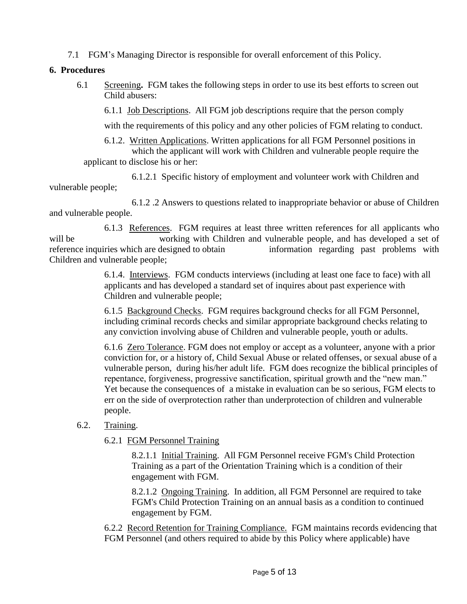7.1 FGM's Managing Director is responsible for overall enforcement of this Policy.

#### **6. Procedures**

6.1 Screening**.** FGM takes the following steps in order to use its best efforts to screen out Child abusers:

6.1.1 Job Descriptions. All FGM job descriptions require that the person comply

with the requirements of this policy and any other policies of FGM relating to conduct.

6.1.2. Written Applications. Written applications for all FGM Personnel positions in which the applicant will work with Children and vulnerable people require the

applicant to disclose his or her:

6.1.2.1 Specific history of employment and volunteer work with Children and vulnerable people;

6.1.2 .2 Answers to questions related to inappropriate behavior or abuse of Children and vulnerable people.

6.1.3 References. FGM requires at least three written references for all applicants who will be working with Children and vulnerable people, and has developed a set of reference inquiries which are designed to obtain information regarding past problems with Children and vulnerable people;

> 6.1.4. Interviews. FGM conducts interviews (including at least one face to face) with all applicants and has developed a standard set of inquires about past experience with Children and vulnerable people;

6.1.5 Background Checks. FGM requires background checks for all FGM Personnel, including criminal records checks and similar appropriate background checks relating to any conviction involving abuse of Children and vulnerable people, youth or adults.

6.1.6 Zero Tolerance. FGM does not employ or accept as a volunteer, anyone with a prior conviction for, or a history of, Child Sexual Abuse or related offenses, or sexual abuse of a vulnerable person, during his/her adult life. FGM does recognize the biblical principles of repentance, forgiveness, progressive sanctification, spiritual growth and the "new man." Yet because the consequences of a mistake in evaluation can be so serious, FGM elects to err on the side of overprotection rather than underprotection of children and vulnerable people.

## 6.2. Training.

6.2.1 FGM Personnel Training

8.2.1.1 Initial Training. All FGM Personnel receive FGM's Child Protection Training as a part of the Orientation Training which is a condition of their engagement with FGM.

8.2.1.2 Ongoing Training. In addition, all FGM Personnel are required to take FGM's Child Protection Training on an annual basis as a condition to continued engagement by FGM.

6.2.2 Record Retention for Training Compliance. FGM maintains records evidencing that FGM Personnel (and others required to abide by this Policy where applicable) have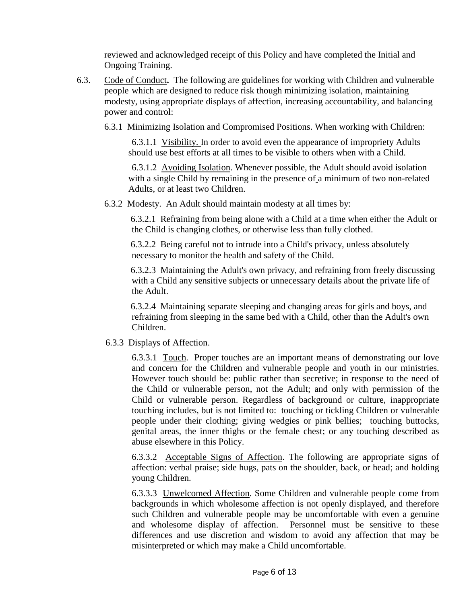reviewed and acknowledged receipt of this Policy and have completed the Initial and Ongoing Training.

- 6.3. Code of Conduct**.** The following are guidelines for working with Children and vulnerable people which are designed to reduce risk though minimizing isolation, maintaining modesty, using appropriate displays of affection, increasing accountability, and balancing power and control:
	- 6.3.1 Minimizing Isolation and Compromised Positions. When working with Children:

6.3.1.1 Visibility. In order to avoid even the appearance of impropriety Adults should use best efforts at all times to be visible to others when with a Child.

 6.3.1.2 Avoiding Isolation. Whenever possible, the Adult should avoid isolation with a single Child by remaining in the presence of a minimum of two non-related Adults, or at least two Children.

6.3.2 Modesty. An Adult should maintain modesty at all times by:

6.3.2.1 Refraining from being alone with a Child at a time when either the Adult or the Child is changing clothes, or otherwise less than fully clothed.

6.3.2.2 Being careful not to intrude into a Child's privacy, unless absolutely necessary to monitor the health and safety of the Child.

6.3.2.3 Maintaining the Adult's own privacy, and refraining from freely discussing with a Child any sensitive subjects or unnecessary details about the private life of the Adult.

6.3.2.4 Maintaining separate sleeping and changing areas for girls and boys, and refraining from sleeping in the same bed with a Child, other than the Adult's own Children.

## 6.3.3 Displays of Affection.

6.3.3.1 Touch. Proper touches are an important means of demonstrating our love and concern for the Children and vulnerable people and youth in our ministries. However touch should be: public rather than secretive; in response to the need of the Child or vulnerable person, not the Adult; and only with permission of the Child or vulnerable person. Regardless of background or culture, inappropriate touching includes, but is not limited to: touching or tickling Children or vulnerable people under their clothing; giving wedgies or pink bellies; touching buttocks, genital areas, the inner thighs or the female chest; or any touching described as abuse elsewhere in this Policy.

6.3.3.2 Acceptable Signs of Affection. The following are appropriate signs of affection: verbal praise; side hugs, pats on the shoulder, back, or head; and holding young Children.

6.3.3.3 Unwelcomed Affection. Some Children and vulnerable people come from backgrounds in which wholesome affection is not openly displayed, and therefore such Children and vulnerable people may be uncomfortable with even a genuine and wholesome display of affection. Personnel must be sensitive to these differences and use discretion and wisdom to avoid any affection that may be misinterpreted or which may make a Child uncomfortable.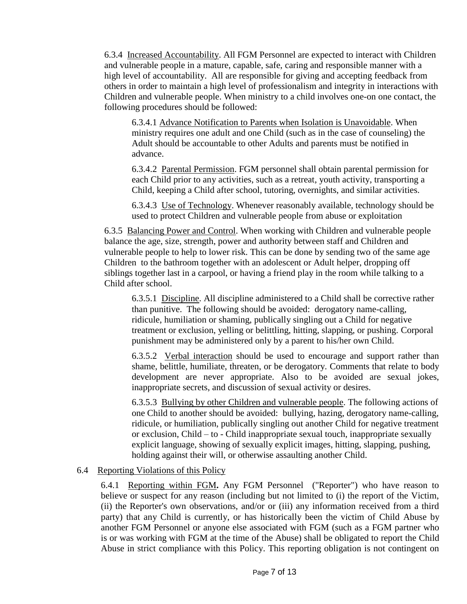6.3.4 Increased Accountability. All FGM Personnel are expected to interact with Children and vulnerable people in a mature, capable, safe, caring and responsible manner with a high level of accountability. All are responsible for giving and accepting feedback from others in order to maintain a high level of professionalism and integrity in interactions with Children and vulnerable people. When ministry to a child involves one-on one contact, the following procedures should be followed:

6.3.4.1 Advance Notification to Parents when Isolation is Unavoidable. When ministry requires one adult and one Child (such as in the case of counseling) the Adult should be accountable to other Adults and parents must be notified in advance.

6.3.4.2 Parental Permission. FGM personnel shall obtain parental permission for each Child prior to any activities, such as a retreat, youth activity, transporting a Child, keeping a Child after school, tutoring, overnights, and similar activities.

6.3.4.3 Use of Technology. Whenever reasonably available, technology should be used to protect Children and vulnerable people from abuse or exploitation

6.3.5 Balancing Power and Control. When working with Children and vulnerable people balance the age, size, strength, power and authority between staff and Children and vulnerable people to help to lower risk. This can be done by sending two of the same age Children to the bathroom together with an adolescent or Adult helper, dropping off siblings together last in a carpool, or having a friend play in the room while talking to a Child after school.

6.3.5.1 Discipline. All discipline administered to a Child shall be corrective rather than punitive. The following should be avoided: derogatory name-calling, ridicule, humiliation or shaming, publically singling out a Child for negative treatment or exclusion, yelling or belittling, hitting, slapping, or pushing. Corporal punishment may be administered only by a parent to his/her own Child.

6.3.5.2 Verbal interaction should be used to encourage and support rather than shame, belittle, humiliate, threaten, or be derogatory. Comments that relate to body development are never appropriate. Also to be avoided are sexual jokes, inappropriate secrets, and discussion of sexual activity or desires.

6.3.5.3 Bullying by other Children and vulnerable people. The following actions of one Child to another should be avoided: bullying, hazing, derogatory name-calling, ridicule, or humiliation, publically singling out another Child for negative treatment or exclusion, Child – to - Child inappropriate sexual touch, inappropriate sexually explicit language, showing of sexually explicit images, hitting, slapping, pushing, holding against their will, or otherwise assaulting another Child.

#### 6.4 Reporting Violations of this Policy

6.4.1Reporting within FGM**.** Any FGM Personnel ("Reporter") who have reason to believe or suspect for any reason (including but not limited to (i) the report of the Victim, (ii) the Reporter's own observations, and/or or (iii) any information received from a third party) that any Child is currently, or has historically been the victim of Child Abuse by another FGM Personnel or anyone else associated with FGM (such as a FGM partner who is or was working with FGM at the time of the Abuse) shall be obligated to report the Child Abuse in strict compliance with this Policy. This reporting obligation is not contingent on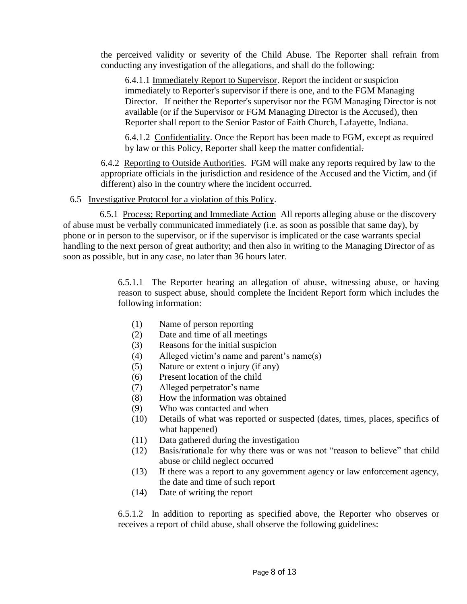the perceived validity or severity of the Child Abuse. The Reporter shall refrain from conducting any investigation of the allegations, and shall do the following:

6.4.1.1 Immediately Report to Supervisor. Report the incident or suspicion immediately to Reporter's supervisor if there is one, and to the FGM Managing Director. If neither the Reporter's supervisor nor the FGM Managing Director is not available (or if the Supervisor or FGM Managing Director is the Accused), then Reporter shall report to the Senior Pastor of Faith Church, Lafayette, Indiana.

6.4.1.2 Confidentiality. Once the Report has been made to FGM, except as required by law or this Policy, Reporter shall keep the matter confidential.

6.4.2 Reporting to Outside Authorities. FGM will make any reports required by law to the appropriate officials in the jurisdiction and residence of the Accused and the Victim, and (if different) also in the country where the incident occurred.

#### 6.5 Investigative Protocol for a violation of this Policy.

 6.5.1 Process; Reporting and Immediate Action All reports alleging abuse or the discovery of abuse must be verbally communicated immediately (i.e. as soon as possible that same day), by phone or in person to the supervisor, or if the supervisor is implicated or the case warrants special handling to the next person of great authority; and then also in writing to the Managing Director of as soon as possible, but in any case, no later than 36 hours later.

> 6.5.1.1 The Reporter hearing an allegation of abuse, witnessing abuse, or having reason to suspect abuse, should complete the Incident Report form which includes the following information:

- (1) Name of person reporting
- (2) Date and time of all meetings
- (3) Reasons for the initial suspicion
- (4) Alleged victim's name and parent's name(s)
- (5) Nature or extent o injury (if any)
- (6) Present location of the child
- (7) Alleged perpetrator's name
- (8) How the information was obtained
- (9) Who was contacted and when
- (10) Details of what was reported or suspected (dates, times, places, specifics of what happened)
- (11) Data gathered during the investigation
- (12) Basis/rationale for why there was or was not "reason to believe" that child abuse or child neglect occurred
- (13) If there was a report to any government agency or law enforcement agency, the date and time of such report
- (14) Date of writing the report

6.5.1.2 In addition to reporting as specified above, the Reporter who observes or receives a report of child abuse, shall observe the following guidelines: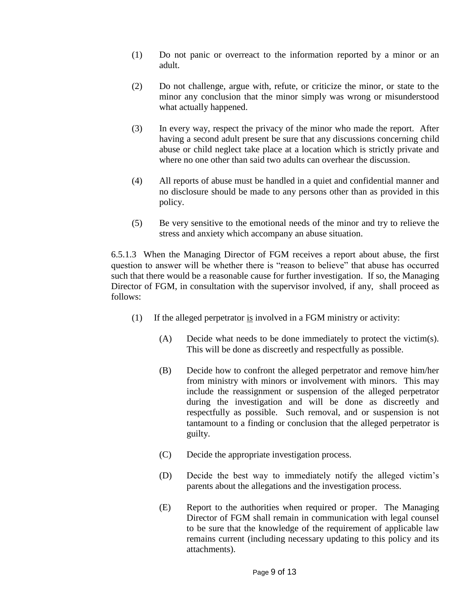- (1) Do not panic or overreact to the information reported by a minor or an adult.
- (2) Do not challenge, argue with, refute, or criticize the minor, or state to the minor any conclusion that the minor simply was wrong or misunderstood what actually happened.
- (3) In every way, respect the privacy of the minor who made the report. After having a second adult present be sure that any discussions concerning child abuse or child neglect take place at a location which is strictly private and where no one other than said two adults can overhear the discussion.
- (4) All reports of abuse must be handled in a quiet and confidential manner and no disclosure should be made to any persons other than as provided in this policy.
- (5) Be very sensitive to the emotional needs of the minor and try to relieve the stress and anxiety which accompany an abuse situation.

6.5.1.3 When the Managing Director of FGM receives a report about abuse, the first question to answer will be whether there is "reason to believe" that abuse has occurred such that there would be a reasonable cause for further investigation. If so, the Managing Director of FGM, in consultation with the supervisor involved, if any, shall proceed as follows:

- (1) If the alleged perpetrator is involved in a FGM ministry or activity:
	- (A) Decide what needs to be done immediately to protect the victim(s). This will be done as discreetly and respectfully as possible.
	- (B) Decide how to confront the alleged perpetrator and remove him/her from ministry with minors or involvement with minors. This may include the reassignment or suspension of the alleged perpetrator during the investigation and will be done as discreetly and respectfully as possible. Such removal, and or suspension is not tantamount to a finding or conclusion that the alleged perpetrator is guilty.
	- (C) Decide the appropriate investigation process.
	- (D) Decide the best way to immediately notify the alleged victim's parents about the allegations and the investigation process.
	- (E) Report to the authorities when required or proper. The Managing Director of FGM shall remain in communication with legal counsel to be sure that the knowledge of the requirement of applicable law remains current (including necessary updating to this policy and its attachments).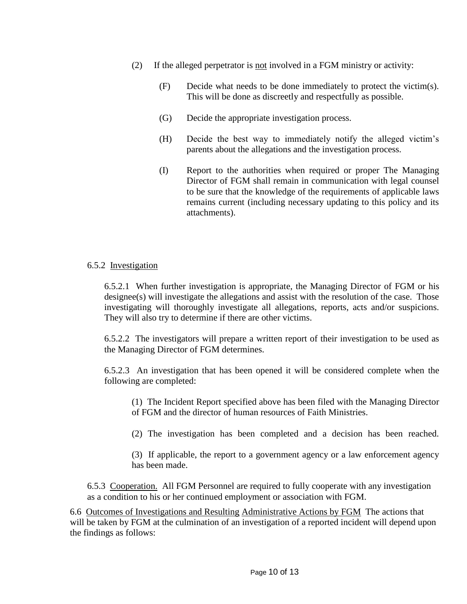- (2) If the alleged perpetrator is not involved in a FGM ministry or activity:
	- (F) Decide what needs to be done immediately to protect the victim(s). This will be done as discreetly and respectfully as possible.
	- (G) Decide the appropriate investigation process.
	- (H) Decide the best way to immediately notify the alleged victim's parents about the allegations and the investigation process.
	- (I) Report to the authorities when required or proper The Managing Director of FGM shall remain in communication with legal counsel to be sure that the knowledge of the requirements of applicable laws remains current (including necessary updating to this policy and its attachments).

#### 6.5.2 Investigation

6.5.2.1 When further investigation is appropriate, the Managing Director of FGM or his designee(s) will investigate the allegations and assist with the resolution of the case. Those investigating will thoroughly investigate all allegations, reports, acts and/or suspicions. They will also try to determine if there are other victims.

6.5.2.2 The investigators will prepare a written report of their investigation to be used as the Managing Director of FGM determines.

6.5.2.3 An investigation that has been opened it will be considered complete when the following are completed:

(1) The Incident Report specified above has been filed with the Managing Director of FGM and the director of human resources of Faith Ministries.

(2) The investigation has been completed and a decision has been reached.

(3) If applicable, the report to a government agency or a law enforcement agency has been made.

6.5.3 Cooperation. All FGM Personnel are required to fully cooperate with any investigation as a condition to his or her continued employment or association with FGM.

 6.6 Outcomes of Investigations and Resulting Administrative Actions by FGM The actions that will be taken by FGM at the culmination of an investigation of a reported incident will depend upon the findings as follows: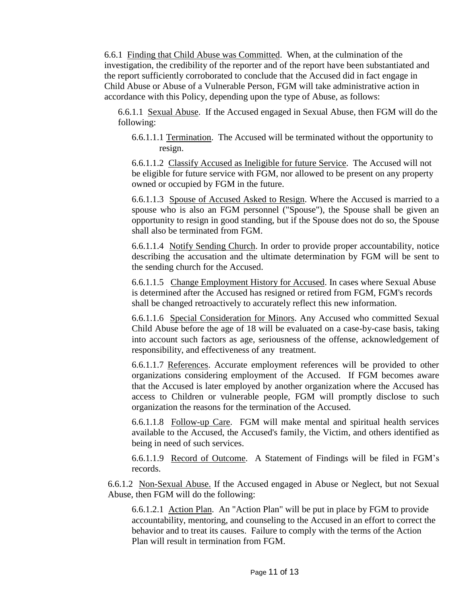6.6.1 Finding that Child Abuse was Committed. When, at the culmination of the investigation, the credibility of the reporter and of the report have been substantiated and the report sufficiently corroborated to conclude that the Accused did in fact engage in Child Abuse or Abuse of a Vulnerable Person, FGM will take administrative action in accordance with this Policy, depending upon the type of Abuse, as follows:

6.6.1.1 Sexual Abuse. If the Accused engaged in Sexual Abuse, then FGM will do the following:

6.6.1.1.1 Termination. The Accused will be terminated without the opportunity to resign.

6.6.1.1.2 Classify Accused as Ineligible for future Service. The Accused will not be eligible for future service with FGM, nor allowed to be present on any property owned or occupied by FGM in the future.

6.6.1.1.3 Spouse of Accused Asked to Resign. Where the Accused is married to a spouse who is also an FGM personnel ("Spouse"), the Spouse shall be given an opportunity to resign in good standing, but if the Spouse does not do so, the Spouse shall also be terminated from FGM.

6.6.1.1.4 Notify Sending Church. In order to provide proper accountability, notice describing the accusation and the ultimate determination by FGM will be sent to the sending church for the Accused.

6.6.1.1.5 Change Employment History for Accused. In cases where Sexual Abuse is determined after the Accused has resigned or retired from FGM, FGM's records shall be changed retroactively to accurately reflect this new information.

6.6.1.1.6 Special Consideration for Minors. Any Accused who committed Sexual Child Abuse before the age of 18 will be evaluated on a case-by-case basis, taking into account such factors as age, seriousness of the offense, acknowledgement of responsibility, and effectiveness of any treatment.

6.6.1.1.7 References. Accurate employment references will be provided to other organizations considering employment of the Accused. If FGM becomes aware that the Accused is later employed by another organization where the Accused has access to Children or vulnerable people, FGM will promptly disclose to such organization the reasons for the termination of the Accused.

6.6.1.1.8 Follow-up Care. FGM will make mental and spiritual health services available to the Accused, the Accused's family, the Victim, and others identified as being in need of such services.

6.6.1.1.9 Record of Outcome. A Statement of Findings will be filed in FGM's records.

6.6.1.2 Non-Sexual Abuse. If the Accused engaged in Abuse or Neglect, but not Sexual Abuse, then FGM will do the following:

6.6.1.2.1 Action Plan. An "Action Plan" will be put in place by FGM to provide accountability, mentoring, and counseling to the Accused in an effort to correct the behavior and to treat its causes. Failure to comply with the terms of the Action Plan will result in termination from FGM.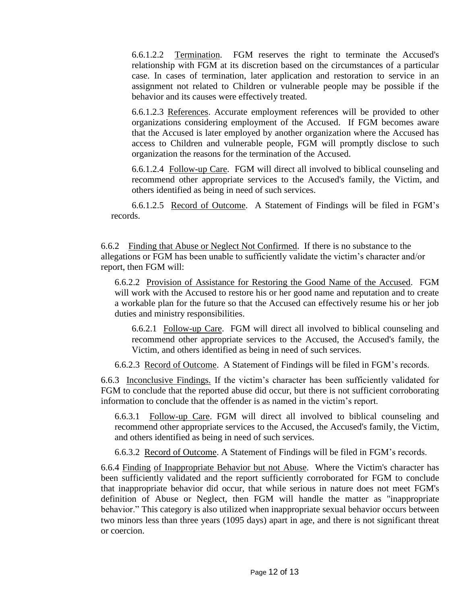6.6.1.2.2 Termination. FGM reserves the right to terminate the Accused's relationship with FGM at its discretion based on the circumstances of a particular case. In cases of termination, later application and restoration to service in an assignment not related to Children or vulnerable people may be possible if the behavior and its causes were effectively treated.

6.6.1.2.3 References. Accurate employment references will be provided to other organizations considering employment of the Accused. If FGM becomes aware that the Accused is later employed by another organization where the Accused has access to Children and vulnerable people, FGM will promptly disclose to such organization the reasons for the termination of the Accused.

6.6.1.2.4 Follow-up Care. FGM will direct all involved to biblical counseling and recommend other appropriate services to the Accused's family, the Victim, and others identified as being in need of such services.

6.6.1.2.5 Record of Outcome. A Statement of Findings will be filed in FGM's records.

6.6.2 Finding that Abuse or Neglect Not Confirmed. If there is no substance to the allegations or FGM has been unable to sufficiently validate the victim's character and/or report, then FGM will:

6.6.2.2 Provision of Assistance for Restoring the Good Name of the Accused. FGM will work with the Accused to restore his or her good name and reputation and to create a workable plan for the future so that the Accused can effectively resume his or her job duties and ministry responsibilities.

6.6.2.1 Follow-up Care. FGM will direct all involved to biblical counseling and recommend other appropriate services to the Accused, the Accused's family, the Victim, and others identified as being in need of such services.

6.6.2.3 Record of Outcome. A Statement of Findings will be filed in FGM's records.

6.6.3 Inconclusive Findings. If the victim's character has been sufficiently validated for FGM to conclude that the reported abuse did occur, but there is not sufficient corroborating information to conclude that the offender is as named in the victim's report.

6.6.3.1 Follow-up Care. FGM will direct all involved to biblical counseling and recommend other appropriate services to the Accused, the Accused's family, the Victim, and others identified as being in need of such services.

6.6.3.2 Record of Outcome. A Statement of Findings will be filed in FGM's records.

6.6.4 Finding of Inappropriate Behavior but not Abuse. Where the Victim's character has been sufficiently validated and the report sufficiently corroborated for FGM to conclude that inappropriate behavior did occur, that while serious in nature does not meet FGM's definition of Abuse or Neglect, then FGM will handle the matter as "inappropriate behavior." This category is also utilized when inappropriate sexual behavior occurs between two minors less than three years (1095 days) apart in age, and there is not significant threat or coercion.